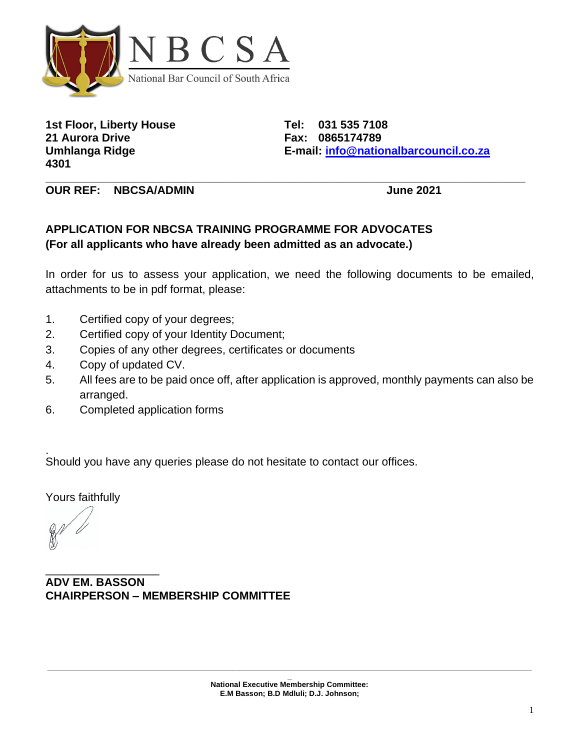

**1st Floor, Liberty House Tel: 031 535 7108 21 Aurora Drive Fax: 0865174789 4301**

**Umhlanga Ridge E-mail: [info@nationalbarcouncil.co.za](mailto:info@nationalbarcouncil.co.za)**

**OUR REF: NBCSA/ADMIN June 2021**

## **APPLICATION FOR NBCSA TRAINING PROGRAMME FOR ADVOCATES (For all applicants who have already been admitted as an advocate.)**

In order for us to assess your application, we need the following documents to be emailed, attachments to be in pdf format, please:

**\_\_\_\_\_\_\_\_\_\_\_\_\_\_\_\_\_\_\_\_\_\_\_\_\_\_\_\_\_\_\_\_\_\_\_\_\_\_\_\_\_\_\_\_\_\_\_\_\_\_\_\_\_\_\_\_\_\_\_\_\_\_\_\_\_\_\_\_\_\_\_\_\_\_\_\_**

- 1. Certified copy of your degrees;
- 2. Certified copy of your Identity Document;
- 3. Copies of any other degrees, certificates or documents
- 4. Copy of updated CV.
- 5. All fees are to be paid once off, after application is approved, monthly payments can also be arranged.
- 6. Completed application forms

. Should you have any queries please do not hesitate to contact our offices.

Yours faithfully

\_\_\_\_\_\_\_\_\_\_\_\_\_\_\_\_\_\_ **ADV EM. BASSON CHAIRPERSON – MEMBERSHIP COMMITTEE**

**\_\_\_\_\_\_\_\_\_\_\_\_\_\_\_\_\_\_\_\_\_\_\_\_\_\_\_\_\_\_\_\_\_\_\_\_\_\_\_\_\_\_\_\_\_\_\_\_\_\_\_\_\_\_\_\_\_\_\_\_\_\_\_\_\_\_\_\_\_\_\_\_\_\_\_\_\_\_\_\_\_\_\_\_\_\_\_\_\_\_\_\_\_\_\_\_\_\_\_\_\_\_\_\_\_\_\_\_\_\_\_\_\_\_\_**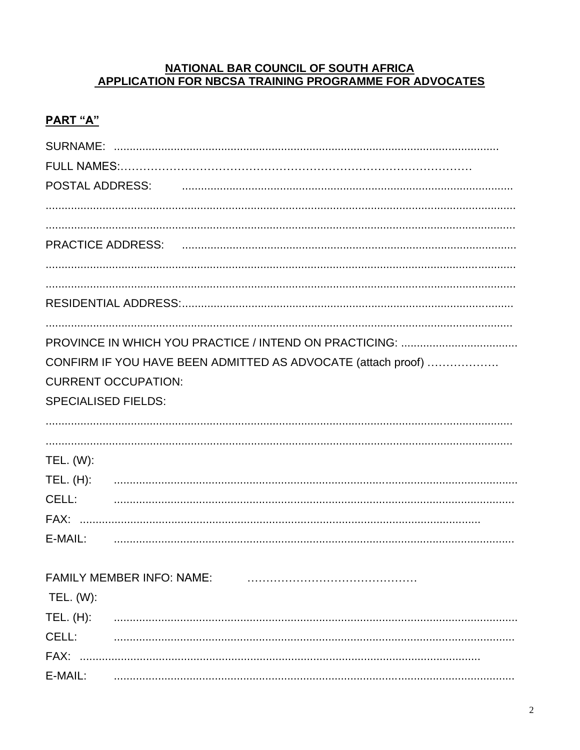#### NATIONAL BAR COUNCIL OF SOUTH AFRICA APPLICATION FOR NBCSA TRAINING PROGRAMME FOR ADVOCATES

## PART "A"

|                  | POSTAL ADDRESS: POSTAL ADDRESS: POSTAL ADDRESS:              |
|------------------|--------------------------------------------------------------|
|                  |                                                              |
|                  |                                                              |
|                  |                                                              |
|                  |                                                              |
|                  |                                                              |
|                  |                                                              |
|                  |                                                              |
|                  |                                                              |
|                  | CONFIRM IF YOU HAVE BEEN ADMITTED AS ADVOCATE (attach proof) |
|                  | <b>CURRENT OCCUPATION:</b>                                   |
|                  | <b>SPECIALISED FIELDS:</b>                                   |
|                  |                                                              |
|                  |                                                              |
| <b>TEL.</b> (W): |                                                              |
| TEL. (H):        |                                                              |
| CELL:            |                                                              |
|                  |                                                              |
| E-MAIL:          |                                                              |
|                  |                                                              |
|                  | FAMILY MEMBER INFO: NAME:                                    |
| TEL. (W):        |                                                              |
| TEL. (H):        |                                                              |
| CELL:            |                                                              |
| FAX:             |                                                              |
| E-MAIL:          |                                                              |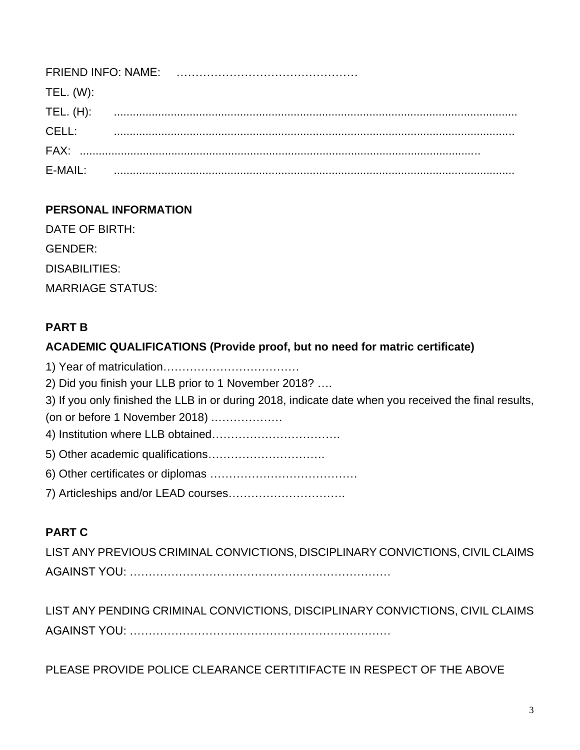| TEL. (W): |  |
|-----------|--|
| TEL. (H): |  |
| CELL:     |  |
|           |  |
| $F-MAIL:$ |  |

## **PERSONAL INFORMATION**

DATE OF BIRTH: **GENDER: DISABILITIES: MARRIAGE STATUS:** 

## **PART B**

### **ACADEMIC QUALIFICATIONS (Provide proof, but no need for matric certificate)**

2) Did you finish your LLB prior to 1 November 2018? .... 3) If you only finished the LLB in or during 2018, indicate date when you received the final results, (on or before 1 November 2018) ................... 

## **PART C**

LIST ANY PREVIOUS CRIMINAL CONVICTIONS, DISCIPLINARY CONVICTIONS, CIVIL CLAIMS 

LIST ANY PENDING CRIMINAL CONVICTIONS, DISCIPLINARY CONVICTIONS, CIVIL CLAIMS 

PLEASE PROVIDE POLICE CLEARANCE CERTITIFACTE IN RESPECT OF THE ABOVE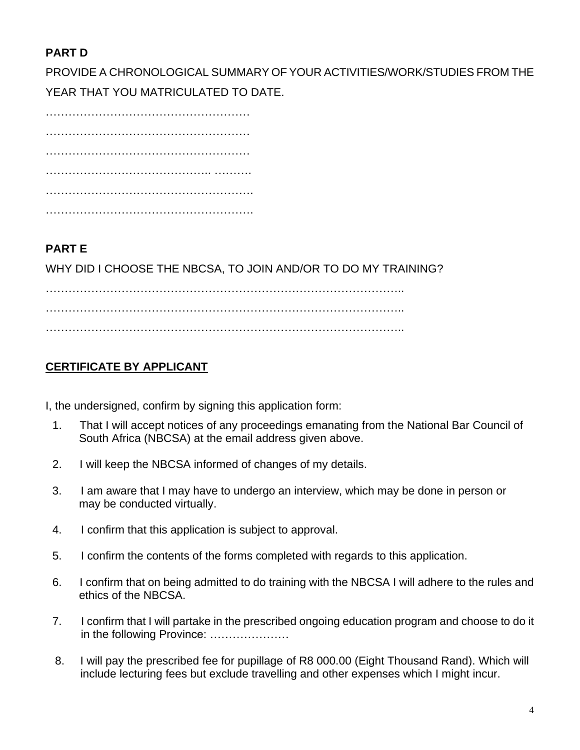# **PART D**

PROVIDE A CHRONOLOGICAL SUMMARY OF YOUR ACTIVITIES/WORK/STUDIES FROM THE YEAR THAT YOU MATRICULATED TO DATE.

……………………………………………… ……………………………………………… ……………………………………………………… …………………………………………………… ……………………………………………….

# **PART E**

WHY DID I CHOOSE THE NBCSA, TO JOIN AND/OR TO DO MY TRAINING?

………………………………………………………………………………….. ………………………………………………………………………………….. …………………………………………………………………………………..

# **CERTIFICATE BY APPLICANT**

I, the undersigned, confirm by signing this application form:

- 1. That I will accept notices of any proceedings emanating from the National Bar Council of South Africa (NBCSA) at the email address given above.
- 2. I will keep the NBCSA informed of changes of my details.
- 3. I am aware that I may have to undergo an interview, which may be done in person or may be conducted virtually.
- 4. I confirm that this application is subject to approval.
- 5. I confirm the contents of the forms completed with regards to this application.
- 6. I confirm that on being admitted to do training with the NBCSA I will adhere to the rules and ethics of the NBCSA.
- 7. I confirm that I will partake in the prescribed ongoing education program and choose to do it in the following Province: …………………
- 8. I will pay the prescribed fee for pupillage of R8 000.00 (Eight Thousand Rand). Which will include lecturing fees but exclude travelling and other expenses which I might incur.